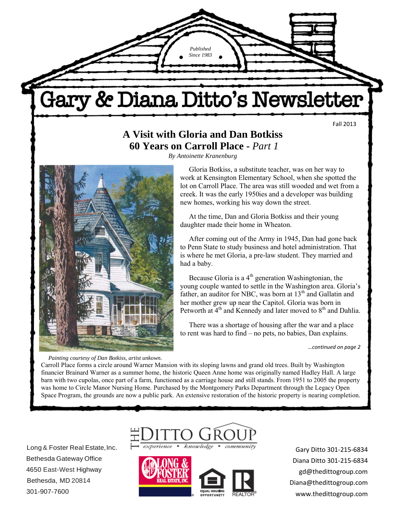Fall 2013

## **A Visit with Gloria and Dan Botkiss 60 Years on Carroll Place -** *Part 1*

Gary & Diana Ditto's Newsletter

*Published Since 1983*

*By Antoinette Kranenburg*



Gloria Botkiss, a substitute teacher, was on her way to work at Kensington Elementary School, when she spotted the lot on Carroll Place. The area was still wooded and wet from a creek. It was the early 1950ies and a developer was building new homes, working his way down the street.

At the time, Dan and Gloria Botkiss and their young daughter made their home in Wheaton.

After coming out of the Army in 1945, Dan had gone back to Penn State to study business and hotel administration. That is where he met Gloria, a pre-law student. They married and had a baby.

Because Gloria is a  $4<sup>th</sup>$  generation Washingtonian, the young couple wanted to settle in the Washington area. Gloria's father, an auditor for NBC, was born at  $13<sup>th</sup>$  and Gallatin and her mother grew up near the Capitol. Gloria was born in Petworth at  $4<sup>th</sup>$  and Kennedy and later moved to  $8<sup>th</sup>$  and Dahlia.

There was a shortage of housing after the war and a place to rent was hard to find – no pets, no babies, Dan explains.

*…continued on page 2*

 *Painting courtesy of Dan Botkiss, artist unkown.*

Carroll Place forms a circle around Warner Mansion with its sloping lawns and grand old trees. Built by Washington financier Brainard Warner as a summer home, the historic Queen Anne home was originally named Hadley Hall. A large barn with two cupolas, once part of a farm, functioned as a carriage house and still stands. From 1951 to 2005 the property was home to Circle Manor Nursing Home. Purchased by the Montgomery Parks Department through the Legacy Open Space Program, the grounds are now a public park. An extensive restoration of the historic property is nearing completion.

Long & Foster Real Estate, Inc. Bethesda Gateway Office 4650 East-West Highway Bethesda, MD 20814 301-907-7600





Gary Ditto 301-215-6834 Diana Ditto 301-215-6834 gd@thedittogroup.com Diana@thedittogroup.com www.thedittogroup.com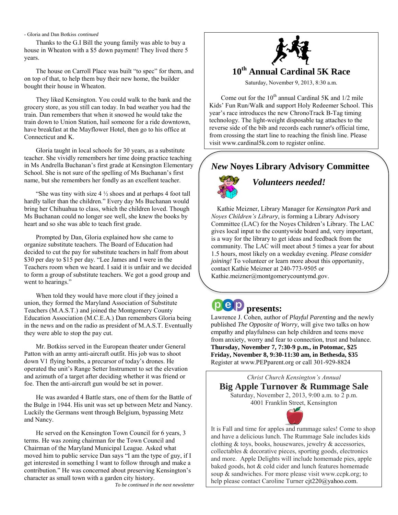#### - Gloria and Dan Botkiss *continued*

Thanks to the G.I Bill the young family was able to buy a house in Wheaton with a \$5 down payment! They lived there 5 years.

The house on Carroll Place was built "to spec" for them, and on top of that, to help them buy their new home, the builder bought their house in Wheaton.

They liked Kensington. You could walk to the bank and the grocery store, as you still can today. In bad weather you had the train. Dan remembers that when it snowed he would take the train down to Union Station, hail someone for a ride downtown, have breakfast at the Mayflower Hotel, then go to his office at Connecticut and K.

Gloria taught in local schools for 30 years, as a substitute teacher. She vividly remembers her time doing practice teaching in Ms Andrella Buchanan's first grade at Kensington Elementary School. She is not sure of the spelling of Ms Buchanan's first name, but she remembers her fondly as an excellent teacher.

"She was tiny with size  $4\frac{1}{2}$  shoes and at perhaps 4 foot tall hardly taller than the children." Every day Ms Buchanan would bring her Chihuahua to class, which the children loved. Though Ms Buchanan could no longer see well, she knew the books by heart and so she was able to teach first grade.

Prompted by Dan, Gloria explained how she came to organize substitute teachers. The Board of Education had decided to cut the pay for substitute teachers in half from about \$30 per day to \$15 per day. "Lee James and I were in the Teachers room when we heard. I said it is unfair and we decided to form a group of substitute teachers. We got a good group and went to hearings."

When told they would have more clout if they joined a union, they formed the Maryland Association of Substitute Teachers (M.A.S.T.) and joined the Montgomery County Education Association (M.C.E.A.) Dan remembers Gloria being in the news and on the radio as president of M.A.S.T. Eventually they were able to stop the pay cut.

Mr. Botkiss served in the European theater under General Patton with an army anti-aircraft outfit. His job was to shoot down V1 flying bombs, a precursor of today's drones. He operated the unit's Range Setter Instrument to set the elevation and azimuth of a target after deciding whether it was friend or foe. Then the anti-aircraft gun would be set in power.

He was awarded 4 Battle stars, one of them for the Battle of the Bulge in 1944. His unit was set up between Metz and Nancy. Luckily the Germans went through Belgium, bypassing Metz and Nancy.

He served on the Kensington Town Council for 6 years, 3 terms. He was zoning chairman for the Town Council and Chairman of the Maryland Municipal League. Asked what moved him to public service Dan says "I am the type of guy, if I get interested in something I want to follow through and make a contribution." He was concerned about preserving Kensington's character as small town with a garden city history.

*To be continued in the next newsletter*



# **10th Annual Cardinal 5K Race**

Saturday, November 9, 2013, 8:30 a.m.

Come out for the  $10^{th}$  annual Cardinal 5K and  $1/2$  mile Kids' Fun Run/Walk and support Holy Redeemer School. This year's race introduces the new ChronoTrack B-Tag timing technology. The light-weight disposable tag attaches to the reverse side of the bib and records each runner's official time, from crossing the start line to reaching the finish line. Please visit www.cardinal5k.com to register online.

## *New* **Noyes Library Advisory Committee**



## *Volunteers needed!*

Kathie Meizner, Library Manager for *Kensington Park* and *Noyes Children's Library*, is forming a Library Advisory Committee (LAC) for the Noyes Children's Library. The LAC gives local input to the countywide board and, very important, is a way for the library to get ideas and feedback from the community. The LAC will meet about 5 times a year for about 1.5 hours, most likely on a weekday evening. *Please consider joining!* To volunteer or learn more about this opportunity, contact Kathie Meizner at 240-773-9505 or Kathie.meizner@montgomerycountymd.gov.

# **p**ep presents:

Lawrence J. Cohen, author of *Playful Parenting* and the newly published *The Opposite of Worry,* will give two talks on how empathy and playfulness can help children and teens move from anxiety, worry and fear to connection, trust and balance. **Thursday, November 7, 7:30-9 p.m., in Potomac, \$25 Friday, November 8, 9:30-11:30 am, in Bethesda, \$35** Register at www.PEPparent.org or call [301-929-8824](tel:301-929-8824)

*Christ Church Kensington's Annual*

**Big Apple Turnover & Rummage Sale**

Saturday, November 2, 2013, 9:00 a.m. to 2 p.m. 4001 Franklin Street, Kensington



It is Fall and time for apples and rummage sales! Come to shop and have a delicious lunch. The Rummage Sale includes kids clothing & toys, books, housewares, jewelry & accessories, collectables & decorative pieces, sporting goods, electronics and more. Apple Delights will include homemade pies, apple baked goods, hot & cold cider and lunch features homemade soup & sandwiches. For more please visit www.ccpk.org; to help please contact Caroline Turner cjt220@yahoo.com.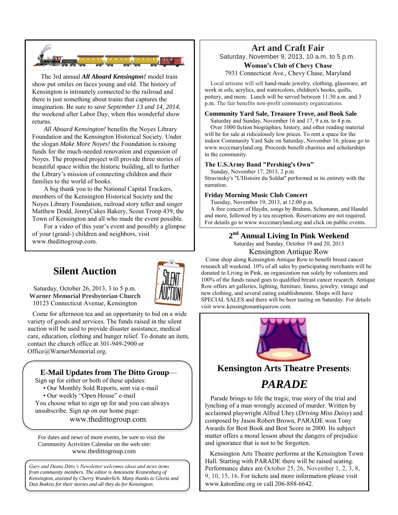

The 3rd annual *All Aboard Kensington!* model train show put smiles on faces young and old. The history of Kensington is intimately connected to the railroad and there is just something about trains that captures the imagination. Be sure to *save September 13 and 14, 2014*, the weekend after Labor Day, when this wonderful show returns.

*All Aboard Kensington!* benefits the Noyes Library Foundation and the Kensington Historical Society. Under the slogan *Make More Noyes!* the Foundation is raising funds for the much-needed renovation and expansion of Noyes. The proposed project will provide three stories of beautiful space within the historic building, all to further the Library's mission of connecting children and their families to the world of books.

A big thank you to the National Capital Trackers, members of the Kensington Historical Society and the Noyes Library Foundation, railroad story teller and singer Matthew Dodd, JennyCakes Bakery, Scout Troop 439, the Town of Kensington and all who made the event possible.

For a video of this year's event and possibly a glimpse of your (grand-) children and neighbors, visit www.thedittogroup.com.

## **Silent Auction**



Saturday, October 26, 2013, 3 to 5 p.m. **Warner Memorial Presbyterian Church** 10123 Connecticut Avenue, Kensington

 Come for afternoon tea and an opportunity to bid on a wide variety of goods and services. The funds raised in the silent auction will be used to provide disaster assistance, medical care, education, clothing and hunger relief. To donate an item, contact the church office at 301-949-2900 or Office@WarnerMemorial.org.

## **E-Mail Updates from The Ditto Group**—

Sign up for either or both of these updates:

- Our Monthly Sold Reports, sent via e-mail
- Our weekly "Open House" e-mail
- You choose what to sign up for and you can always
- unsubscribe. Sign up on our home page:

www.thedittogroup.com.

For dates and news of more events, be sure to visit the Community Activities Calendar on the web site: www.thedittogroup.com

*Gary and Diana Ditto's Newsletter welcomes ideas and news items from community members. The editor is Antoinette Kranenburg of Kensington, assisted by Cherry Wunderlich. Many thanks to Gloria and Dan Botkiss for their stories and all they do for Kensington*.

## **Art and Craft Fair**

Saturday, November 9, 2013, 10 a.m. to 5 p.m.

**Woman's Club of Chevy Chase**

7931 Connecticut Ave., Chevy Chase, Maryland

Local artisans will sell hand-made jewelry, clothing, glassware, art work in oils, acrylics, and watercolors, children's books, quilts, pottery, and more. Lunch will be served between 11:30 a.m. and 3 p.m. The fair benefits non-profit community organizations.

#### **Community Yard Sale, Treasure Trove, and Book Sale**

Saturday and Sunday, November 16 and 17, 9 a.m. to 4 p.m. Over 1000 fiction biographies, history, and other reading material will be for sale at ridiculously low prices. To rent a space for the indoor Community Yard Sale on Saturday, November 16, please go to www.wcccmaryland.org. Proceeds benefit charities and scholarships in the community.

#### **The U.S.Army Band "Pershing's Own"**

Sunday, November 17, 2013, 2 p.m.

Stravinsky's "L'Histoire du Soldat" performed in its entirety with the narration.

#### **Friday Morning Music Club Concert**

Tuesday, November 19, 2013, at 12:00 p.m.

A free concert of Haydn, songs by Brahms, Schumann, and Handel and more, followed by a tea reception. Reservations are not required. For details go to www.wcccmaryland.org and click on public events.

> **2 nd Annual Living In Pink Weekend** Saturday and Sunday, October 19 and 20, 2013 Kensington Antique Row

 Come shop along Kensington Antique Row to benefit breast cancer research all weekend. 10% of all sales by participating merchants will be donated to Living in Pink, an organization run solely by volunteers and 100% of the funds raised goes to qualified breast cancer research. Antique Row offers art galleries, lighting, furniture, linens, jewelry, vintage and new clothing, and several eating establishments. Shops will have SPECIAL SALES and there will be beer tasting on Saturday. For details visit www.kensingtonantiquerow.com.



## **Kensington Arts Theatre Presents**:

# *PARADE*

 Parade brings to life the tragic, true story of the trial and lynching of a man wrongly accused of murder. Written by acclaimed playwright Alfred Uhry (*Driving Miss Daisy*) and composed by Jason Robert Brown, PARADE won Tony Awards for Best Book and Best Score in 2000. Its subject matter offers a moral lesson about the dangers of prejudice and ignorance that is not to be forgotten.

 Kensington Arts Theatre performs at the Kensington Town Hall. Starting with PARADE there will be raised seating. Performance dates are October 25, 26, November 1, 2, 3, 8, 9, 10, 15, 16. For tickets and more information please visit www.katonline.org or call 206-888-6642.